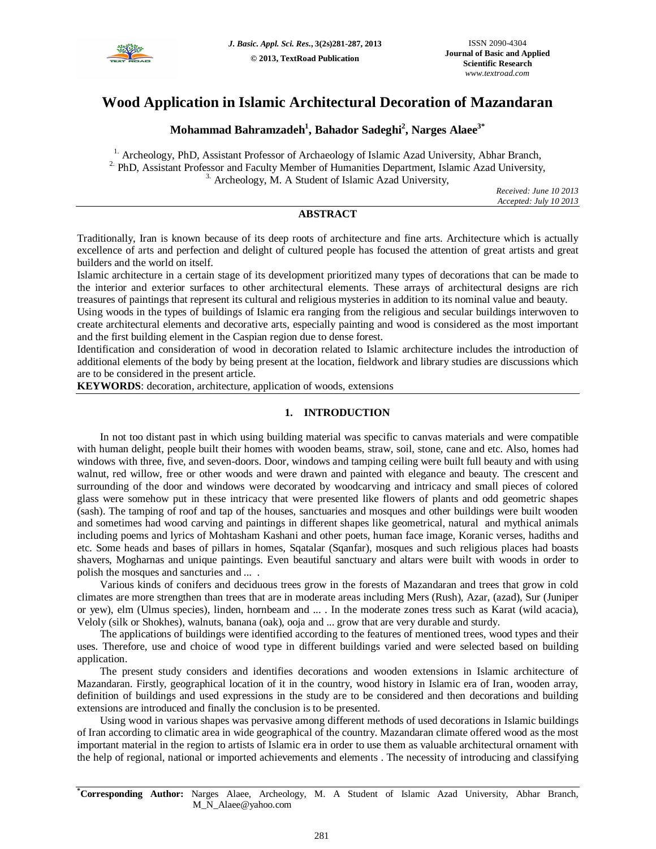

# **Wood Application in Islamic Architectural Decoration of Mazandaran**

# **Mohammad Bahramzadeh<sup>1</sup> , Bahador Sadeghi<sup>2</sup> , Narges Alaee3\***

<sup>1.</sup> Archeology, PhD, Assistant Professor of Archaeology of Islamic Azad University, Abhar Branch,  $2.$  PhD, Assistant Professor and Faculty Member of Humanities Department, Islamic Azad University,  $3.$  Archeology, M. A Student of Islamic Azad University,

> *Received: June 10 2013 Accepted: July 10 2013*

## **ABSTRACT**

Traditionally, Iran is known because of its deep roots of architecture and fine arts. Architecture which is actually excellence of arts and perfection and delight of cultured people has focused the attention of great artists and great builders and the world on itself.

Islamic architecture in a certain stage of its development prioritized many types of decorations that can be made to the interior and exterior surfaces to other architectural elements. These arrays of architectural designs are rich treasures of paintings that represent its cultural and religious mysteries in addition to its nominal value and beauty.

Using woods in the types of buildings of Islamic era ranging from the religious and secular buildings interwoven to create architectural elements and decorative arts, especially painting and wood is considered as the most important and the first building element in the Caspian region due to dense forest.

Identification and consideration of wood in decoration related to Islamic architecture includes the introduction of additional elements of the body by being present at the location, fieldwork and library studies are discussions which are to be considered in the present article.

**KEYWORDS**: decoration, architecture, application of woods, extensions

## **1. INTRODUCTION**

In not too distant past in which using building material was specific to canvas materials and were compatible with human delight, people built their homes with wooden beams, straw, soil, stone, cane and etc. Also, homes had windows with three, five, and seven-doors. Door, windows and tamping ceiling were built full beauty and with using walnut, red willow, free or other woods and were drawn and painted with elegance and beauty. The crescent and surrounding of the door and windows were decorated by woodcarving and intricacy and small pieces of colored glass were somehow put in these intricacy that were presented like flowers of plants and odd geometric shapes (sash). The tamping of roof and tap of the houses, sanctuaries and mosques and other buildings were built wooden and sometimes had wood carving and paintings in different shapes like geometrical, natural and mythical animals including poems and lyrics of Mohtasham Kashani and other poets, human face image, Koranic verses, hadiths and etc. Some heads and bases of pillars in homes, Sqatalar (Sqanfar), mosques and such religious places had boasts shavers, Mogharnas and unique paintings. Even beautiful sanctuary and altars were built with woods in order to polish the mosques and sancturies and ... .

Various kinds of conifers and deciduous trees grow in the forests of Mazandaran and trees that grow in cold climates are more strengthen than trees that are in moderate areas including Mers (Rush), Azar, (azad), Sur (Juniper or yew), elm (Ulmus species), linden, hornbeam and ... . In the moderate zones tress such as Karat (wild acacia), Veloly (silk or Shokhes), walnuts, banana (oak), ooja and ... grow that are very durable and sturdy.

The applications of buildings were identified according to the features of mentioned trees, wood types and their uses. Therefore, use and choice of wood type in different buildings varied and were selected based on building application.

The present study considers and identifies decorations and wooden extensions in Islamic architecture of Mazandaran. Firstly, geographical location of it in the country, wood history in Islamic era of Iran, wooden array, definition of buildings and used expressions in the study are to be considered and then decorations and building extensions are introduced and finally the conclusion is to be presented.

Using wood in various shapes was pervasive among different methods of used decorations in Islamic buildings of Iran according to climatic area in wide geographical of the country. Mazandaran climate offered wood as the most important material in the region to artists of Islamic era in order to use them as valuable architectural ornament with the help of regional, national or imported achievements and elements . The necessity of introducing and classifying

**\*Corresponding Author:** Narges Alaee, Archeology, M. A Student of Islamic Azad University, Abhar Branch, M\_N\_Alaee@yahoo.com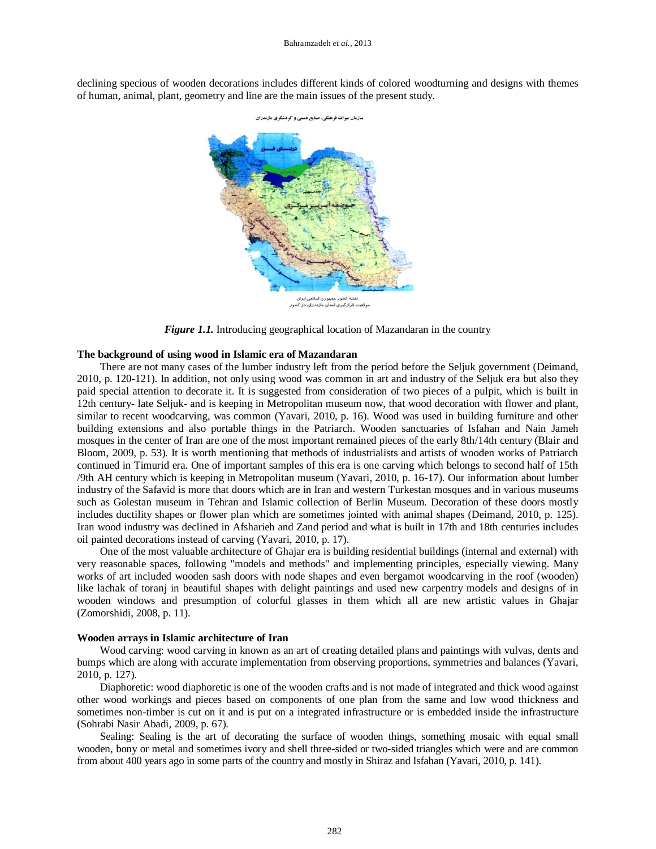declining specious of wooden decorations includes different kinds of colored woodturning and designs with themes of human, animal, plant, geometry and line are the main issues of the present study.



*Figure 1.1.* Introducing geographical location of Mazandaran in the country

## **The background of using wood in Islamic era of Mazandaran**

There are not many cases of the lumber industry left from the period before the Seljuk government (Deimand, 2010, p. 120-121). In addition, not only using wood was common in art and industry of the Seljuk era but also they paid special attention to decorate it. It is suggested from consideration of two pieces of a pulpit, which is built in 12th century- late Seljuk- and is keeping in Metropolitan museum now, that wood decoration with flower and plant, similar to recent woodcarving, was common (Yavari, 2010, p. 16). Wood was used in building furniture and other building extensions and also portable things in the Patriarch. Wooden sanctuaries of Isfahan and Nain Jameh mosques in the center of Iran are one of the most important remained pieces of the early 8th/14th century (Blair and Bloom, 2009, p. 53). It is worth mentioning that methods of industrialists and artists of wooden works of Patriarch continued in Timurid era. One of important samples of this era is one carving which belongs to second half of 15th /9th AH century which is keeping in Metropolitan museum (Yavari, 2010, p. 16-17). Our information about lumber industry of the Safavid is more that doors which are in Iran and western Turkestan mosques and in various museums such as Golestan museum in Tehran and Islamic collection of Berlin Museum. Decoration of these doors mostly includes ductility shapes or flower plan which are sometimes jointed with animal shapes (Deimand, 2010, p. 125). Iran wood industry was declined in Afsharieh and Zand period and what is built in 17th and 18th centuries includes oil painted decorations instead of carving (Yavari, 2010, p. 17).

One of the most valuable architecture of Ghajar era is building residential buildings (internal and external) with very reasonable spaces, following "models and methods" and implementing principles, especially viewing. Many works of art included wooden sash doors with node shapes and even bergamot woodcarving in the roof (wooden) like lachak of toranj in beautiful shapes with delight paintings and used new carpentry models and designs of in wooden windows and presumption of colorful glasses in them which all are new artistic values in Ghajar (Zomorshidi, 2008, p. 11).

#### **Wooden arrays in Islamic architecture of Iran**

Wood carving: wood carving in known as an art of creating detailed plans and paintings with vulvas, dents and bumps which are along with accurate implementation from observing proportions, symmetries and balances (Yavari, 2010, p. 127).

Diaphoretic: wood diaphoretic is one of the wooden crafts and is not made of integrated and thick wood against other wood workings and pieces based on components of one plan from the same and low wood thickness and sometimes non-timber is cut on it and is put on a integrated infrastructure or is embedded inside the infrastructure (Sohrabi Nasir Abadi, 2009, p. 67).

Sealing: Sealing is the art of decorating the surface of wooden things, something mosaic with equal small wooden, bony or metal and sometimes ivory and shell three-sided or two-sided triangles which were and are common from about 400 years ago in some parts of the country and mostly in Shiraz and Isfahan (Yavari, 2010, p. 141).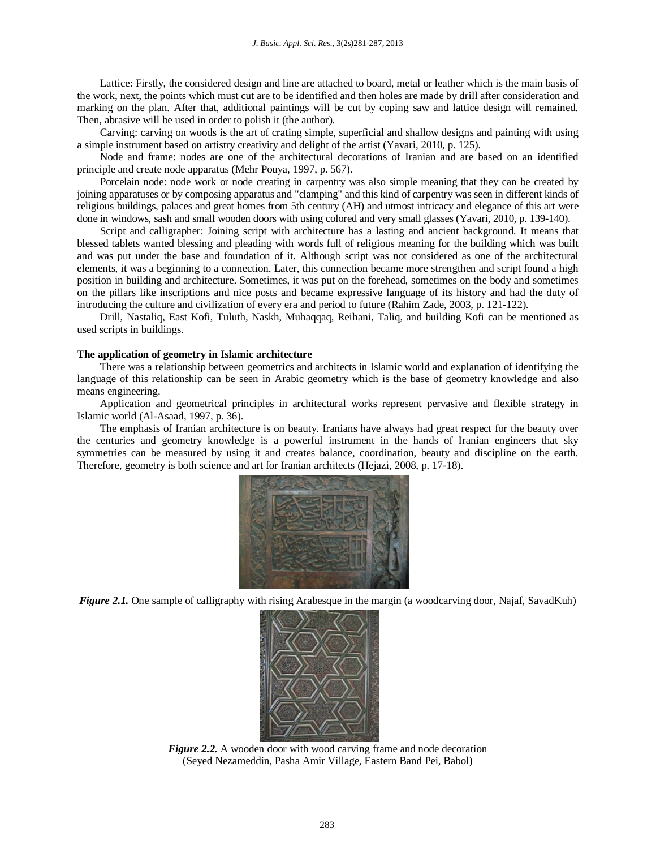Lattice: Firstly, the considered design and line are attached to board, metal or leather which is the main basis of the work, next, the points which must cut are to be identified and then holes are made by drill after consideration and marking on the plan. After that, additional paintings will be cut by coping saw and lattice design will remained. Then, abrasive will be used in order to polish it (the author).

Carving: carving on woods is the art of crating simple, superficial and shallow designs and painting with using a simple instrument based on artistry creativity and delight of the artist (Yavari, 2010, p. 125).

Node and frame: nodes are one of the architectural decorations of Iranian and are based on an identified principle and create node apparatus (Mehr Pouya, 1997, p. 567).

Porcelain node: node work or node creating in carpentry was also simple meaning that they can be created by joining apparatuses or by composing apparatus and "clamping" and this kind of carpentry was seen in different kinds of religious buildings, palaces and great homes from 5th century (AH) and utmost intricacy and elegance of this art were done in windows, sash and small wooden doors with using colored and very small glasses (Yavari, 2010, p. 139-140).

Script and calligrapher: Joining script with architecture has a lasting and ancient background. It means that blessed tablets wanted blessing and pleading with words full of religious meaning for the building which was built and was put under the base and foundation of it. Although script was not considered as one of the architectural elements, it was a beginning to a connection. Later, this connection became more strengthen and script found a high position in building and architecture. Sometimes, it was put on the forehead, sometimes on the body and sometimes on the pillars like inscriptions and nice posts and became expressive language of its history and had the duty of introducing the culture and civilization of every era and period to future (Rahim Zade, 2003, p. 121-122).

Drill, Nastaliq, East Kofi, Tuluth, Naskh, Muhaqqaq, Reihani, Taliq, and building Kofi can be mentioned as used scripts in buildings.

#### **The application of geometry in Islamic architecture**

There was a relationship between geometrics and architects in Islamic world and explanation of identifying the language of this relationship can be seen in Arabic geometry which is the base of geometry knowledge and also means engineering.

Application and geometrical principles in architectural works represent pervasive and flexible strategy in Islamic world (Al-Asaad, 1997, p. 36).

The emphasis of Iranian architecture is on beauty. Iranians have always had great respect for the beauty over the centuries and geometry knowledge is a powerful instrument in the hands of Iranian engineers that sky symmetries can be measured by using it and creates balance, coordination, beauty and discipline on the earth. Therefore, geometry is both science and art for Iranian architects (Hejazi, 2008, p. 17-18).



*Figure 2.1.* One sample of calligraphy with rising Arabesque in the margin (a woodcarving door, Najaf, SavadKuh)



*Figure 2.2.* A wooden door with wood carving frame and node decoration (Seyed Nezameddin, Pasha Amir Village, Eastern Band Pei, Babol)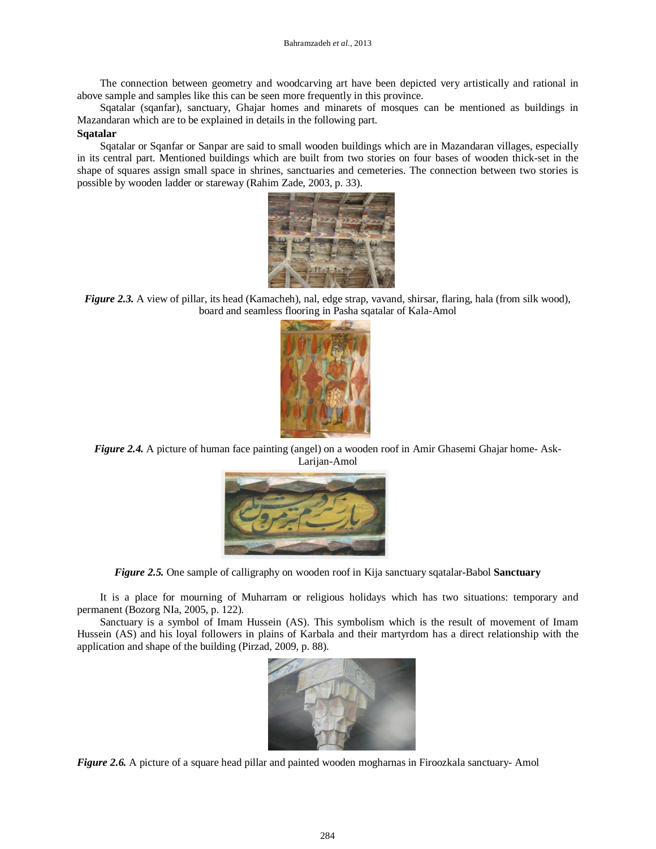The connection between geometry and woodcarving art have been depicted very artistically and rational in above sample and samples like this can be seen more frequently in this province.

Sqatalar (sqanfar), sanctuary, Ghajar homes and minarets of mosques can be mentioned as buildings in Mazandaran which are to be explained in details in the following part.

# **Sqatalar**

Sqatalar or Sqanfar or Sanpar are said to small wooden buildings which are in Mazandaran villages, especially in its central part. Mentioned buildings which are built from two stories on four bases of wooden thick-set in the shape of squares assign small space in shrines, sanctuaries and cemeteries. The connection between two stories is possible by wooden ladder or stareway (Rahim Zade, 2003, p. 33).



*Figure 2.3.* A view of pillar, its head (Kamacheh), nal, edge strap, vavand, shirsar, flaring, hala (from silk wood), board and seamless flooring in Pasha sqatalar of Kala-Amol



*Figure 2.4.* A picture of human face painting (angel) on a wooden roof in Amir Ghasemi Ghajar home-Ask-Larijan-Amol



*Figure 2.5.* One sample of calligraphy on wooden roof in Kija sanctuary sqatalar-Babol **Sanctuary**

It is a place for mourning of Muharram or religious holidays which has two situations: temporary and permanent (Bozorg NIa, 2005, p. 122).

Sanctuary is a symbol of Imam Hussein (AS). This symbolism which is the result of movement of Imam Hussein (AS) and his loyal followers in plains of Karbala and their martyrdom has a direct relationship with the application and shape of the building (Pirzad, 2009, p. 88).



*Figure 2.6.* A picture of a square head pillar and painted wooden mogharnas in Firoozkala sanctuary- Amol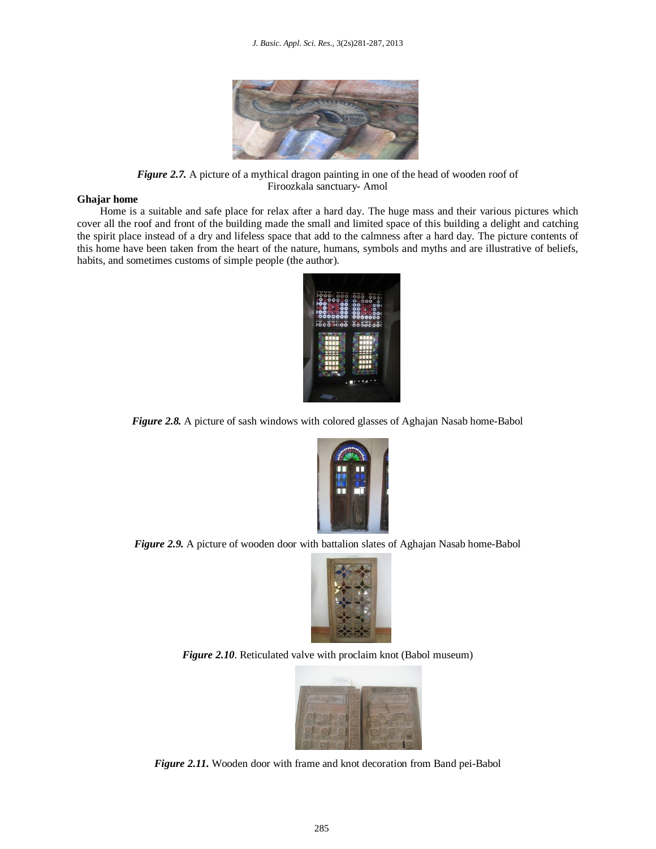

*Figure 2.7.* A picture of a mythical dragon painting in one of the head of wooden roof of Firoozkala sanctuary- Amol

#### **Ghajar home**

Home is a suitable and safe place for relax after a hard day. The huge mass and their various pictures which cover all the roof and front of the building made the small and limited space of this building a delight and catching the spirit place instead of a dry and lifeless space that add to the calmness after a hard day. The picture contents of this home have been taken from the heart of the nature, humans, symbols and myths and are illustrative of beliefs, habits, and sometimes customs of simple people (the author).



*Figure 2.8.* A picture of sash windows with colored glasses of Aghajan Nasab home-Babol



*Figure 2.9.* A picture of wooden door with battalion slates of Aghajan Nasab home-Babol



*Figure 2.10*. Reticulated valve with proclaim knot (Babol museum)



*Figure 2.11.* Wooden door with frame and knot decoration from Band pei-Babol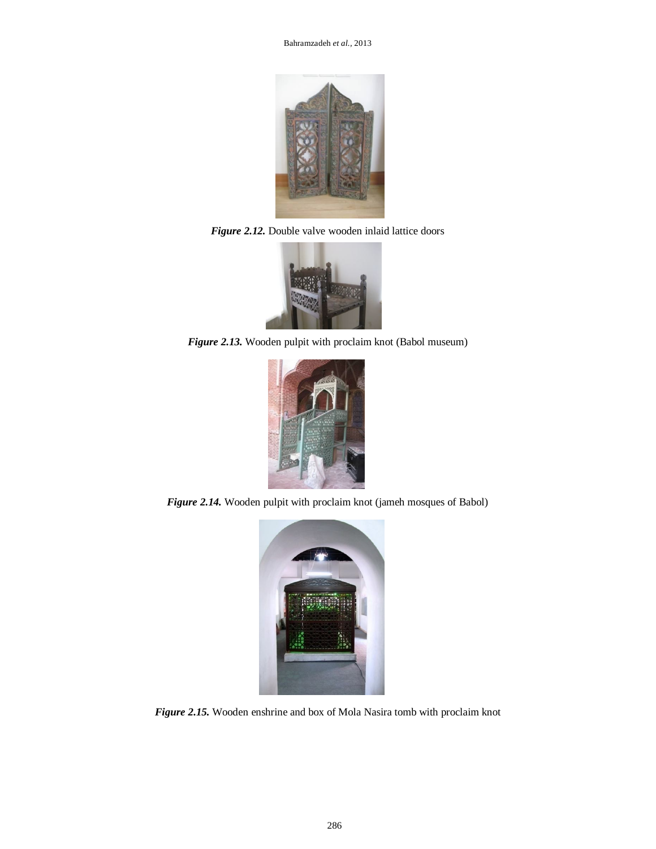

*Figure 2.12.* Double valve wooden inlaid lattice doors



*Figure 2.13.* Wooden pulpit with proclaim knot (Babol museum)



*Figure 2.14.* Wooden pulpit with proclaim knot (jameh mosques of Babol)



*Figure 2.15.* Wooden enshrine and box of Mola Nasira tomb with proclaim knot